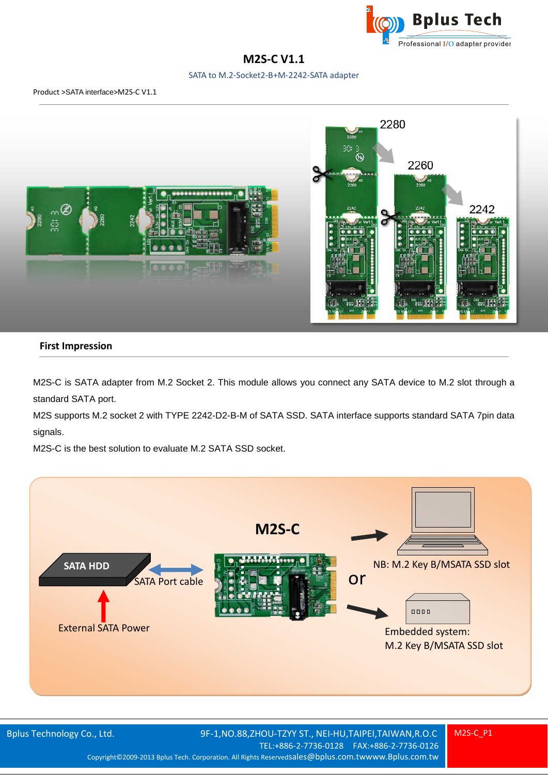

# **M2S-C V1.1**

SATA to M.2-Socket2-B+M-2242-SATA adapter



## **First Impression**

M2S-C is SATA adapter from M.2 Socket 2. This module allows you connect any SATA device to M.2 slot through a standard SATA port.

M2S supports M.2 socket 2 with TYPE 2242-D2-B-M of SATA SSD. SATA interface supports standard SATA 7pin data signals.

M2S-C is the best solution to evaluate M.2 SATA SSD socket.